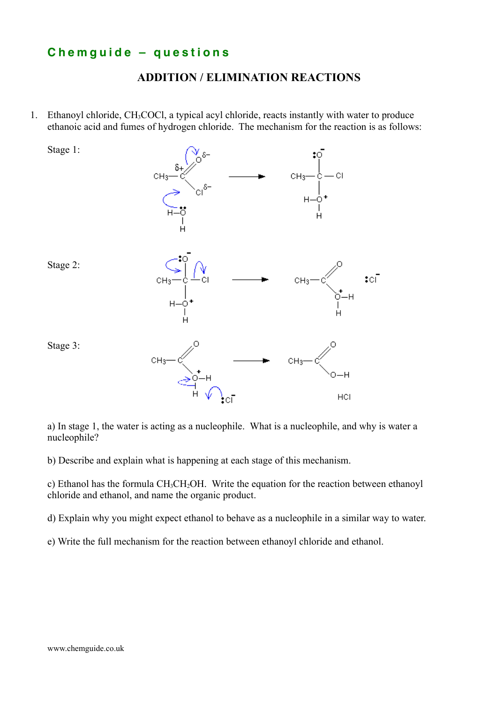## **C h e m g u i d e – q u e s t i o n s**

## **ADDITION / ELIMINATION REACTIONS**

1. Ethanoyl chloride, CH3COCl, a typical acyl chloride, reacts instantly with water to produce ethanoic acid and fumes of hydrogen chloride. The mechanism for the reaction is as follows:



a) In stage 1, the water is acting as a nucleophile. What is a nucleophile, and why is water a nucleophile?

b) Describe and explain what is happening at each stage of this mechanism.

c) Ethanol has the formula CH3CH2OH. Write the equation for the reaction between ethanoyl chloride and ethanol, and name the organic product.

d) Explain why you might expect ethanol to behave as a nucleophile in a similar way to water.

e) Write the full mechanism for the reaction between ethanoyl chloride and ethanol.